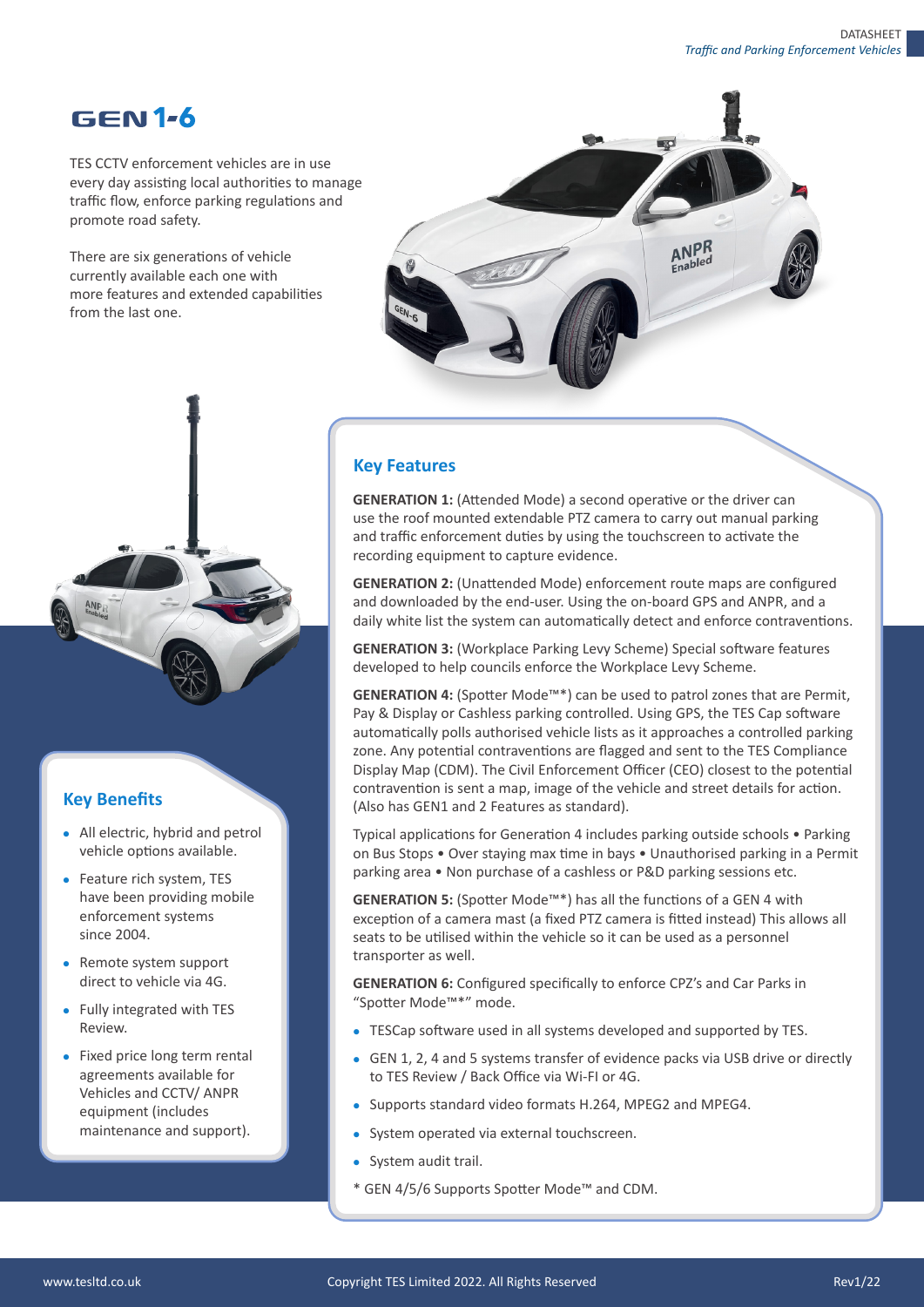# **GEN1-6**

TES CCTV enforcement vehicles are in use every day assisting local authorities to manage traffic flow, enforce parking regulations and promote road safety.

There are six generations of vehicle currently available each one with more features and extended capabilities from the last one.



### **Key Benefits**

- All electric, hybrid and petrol vehicle options available.
- Feature rich system, TES have been providing mobile enforcement systems since 2004.
- Remote system support direct to vehicle via 4G.
- Fully integrated with TES Review.
- Fixed price long term rental agreements available for Vehicles and CCTV/ ANPR equipment (includes maintenance and support).

#### **Key Features**

**GENERATION 1:** (Attended Mode) a second operative or the driver can use the roof mounted extendable PTZ camera to carry out manual parking and traffic enforcement duties by using the touchscreen to activate the recording equipment to capture evidence.

**GENERATION 2: (Unattended Mode) enforcement route maps are configured** and downloaded by the end-user. Using the on-board GPS and ANPR, and a daily white list the system can automatically detect and enforce contraventions.

**GENERATION 3: (Workplace Parking Levy Scheme) Special software features** developed to help councils enforce the Workplace Levy Scheme.

GENERATION 4: (Spotter Mode<sup>™\*</sup>) can be used to patrol zones that are Permit, Pay & Display or Cashless parking controlled. Using GPS, the TES Cap software automa�cally polls authorised vehicle lists as it approaches a controlled parking zone. Any potential contraventions are flagged and sent to the TES Compliance Display Map (CDM). The Civil Enforcement Officer (CEO) closest to the poten�al contravention is sent a map, image of the vehicle and street details for action. (Also has GEN1 and 2 Features as standard).

Typical applications for Generation 4 includes parking outside schools • Parking on Bus Stops • Over staying max time in bays • Unauthorised parking in a Permit parking area • Non purchase of a cashless or P&D parking sessions etc.

GENERATION 5: (Spotter Mode<sup>™\*</sup>) has all the functions of a GEN 4 with exception of a camera mast (a fixed PTZ camera is fitted instead) This allows all seats to be utilised within the vehicle so it can be used as a personnel transporter as well.

**GENERATION 6:** Configured specifically to enforce CPZ's and Car Parks in "Spotter Mode™\*" mode.

- TESCap software used in all systems developed and supported by TES.
- GEN 1, 2, 4 and 5 systems transfer of evidence packs via USB drive or directly to TES Review / Back Office via Wi-FI or 4G.
- Supports standard video formats H.264, MPEG2 and MPEG4.
- System operated via external touchscreen.
- System audit trail.
- \* GEN 4/5/6 Supports Spo�er Mode™ and CDM.